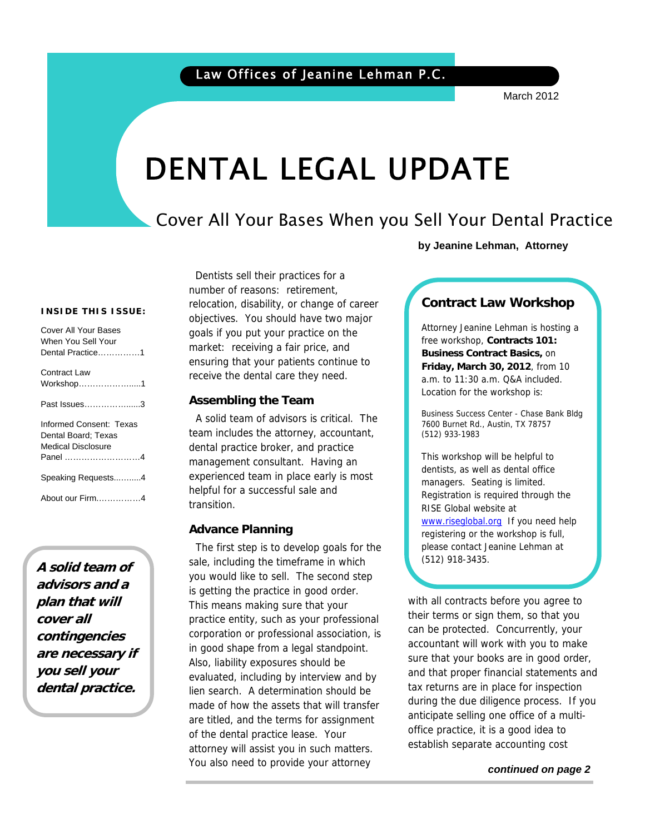March 2012

# DENTAL LEGAL UPDATE

## Cover All Your Bases When you Sell Your Dental Practice

**by Jeanine Lehman, Attorney**

#### **INSIDE THIS ISSUE:**

| Cover All Your Bases<br>When You Sell Your<br>Dental Practice1                  |
|---------------------------------------------------------------------------------|
| Contract Law<br>Workshop1                                                       |
| Past Issues3                                                                    |
| Informed Consent: Texas<br>Dental Board: Texas<br>Medical Disclosure<br>Panel 4 |
| Speaking Requests4                                                              |
| About our Firm4                                                                 |

**A solid team of advisors and a plan that will cover all contingencies are necessary if you sell your dental practice.**

 Dentists sell their practices for a number of reasons: retirement, relocation, disability, or change of career objectives. You should have two major goals if you put your practice on the market: receiving a fair price, and ensuring that your patients continue to receive the dental care they need.

### **Assembling the Team**

A solid team of advisors is critical. The team includes the attorney, accountant, dental practice broker, and practice management consultant. Having an experienced team in place early is most helpful for a successful sale and transition.

### **Advance Planning**

The first step is to develop goals for the sale, including the timeframe in which you would like to sell. The second step is getting the practice in good order. This means making sure that your practice entity, such as your professional corporation or professional association, is in good shape from a legal standpoint. Also, liability exposures should be evaluated, including by interview and by lien search. A determination should be made of how the assets that will transfer are titled, and the terms for assignment of the dental practice lease. Your attorney will assist you in such matters. You also need to provide your attorney

### **Contract Law Workshop**

Attorney Jeanine Lehman is hosting a free workshop, **Contracts 101: Business Contract Basics,** on **Friday, March 30, 2012**, from 10 a.m. to 11:30 a.m. Q&A included. Location for the workshop is:

Business Success Center - Chase Bank Bldg 7600 Burnet Rd., Austin, TX 78757 (512) 933-1983

This workshop will be helpful to dentists, as well as dental office managers. Seating is limited. Registration is required through the RISE Global website at www.riseglobal.org If you need help registering or the workshop is full, please contact Jeanine Lehman at (512) 918-3435.

with all contracts before you agree to their terms or sign them, so that you can be protected. Concurrently, your accountant will work with you to make sure that your books are in good order, and that proper financial statements and tax returns are in place for inspection during the due diligence process. If you anticipate selling one office of a multioffice practice, it is a good idea to establish separate accounting cost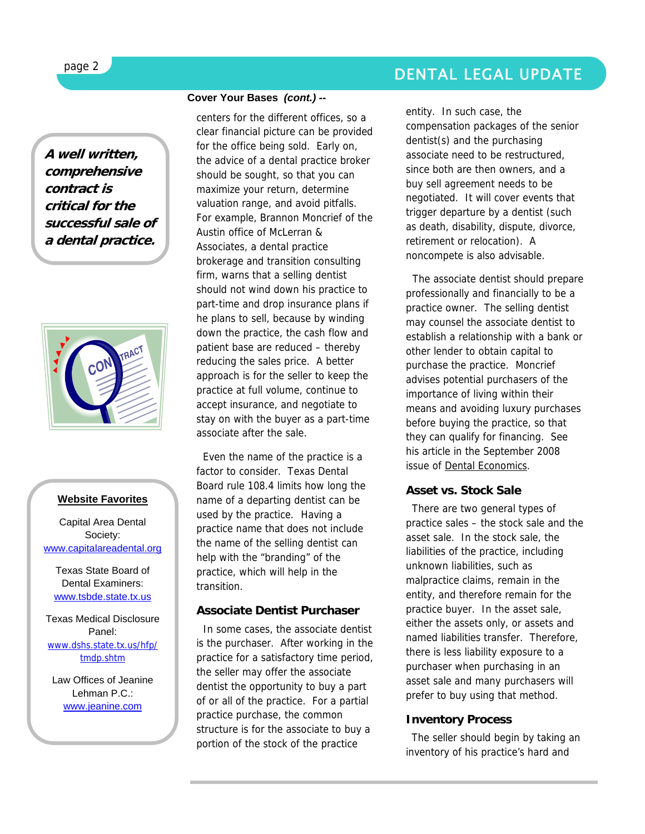**A well written, comprehensive contract is critical for the successful sale of a dental practice.**



### **Website Favorites**

Capital Area Dental Society: www.capitalareadental.org

Texas State Board of Dental Examiners: www.tsbde.state.tx.us

Texas Medical Disclosure Panel: www.dshs.state.tx.us/hfp/ tmdp.shtm

Law Offices of Jeanine Lehman P.C.: www.jeanine.com

### **Cover Your Bases** *(cont.) --*

centers for the different offices, so a clear financial picture can be provided for the office being sold. Early on, the advice of a dental practice broker should be sought, so that you can maximize your return, determine valuation range, and avoid pitfalls. For example, Brannon Moncrief of the Austin office of McLerran & Associates, a dental practice brokerage and transition consulting firm, warns that a selling dentist should not wind down his practice to part-time and drop insurance plans if he plans to sell, because by winding down the practice, the cash flow and patient base are reduced – thereby reducing the sales price. A better approach is for the seller to keep the practice at full volume, continue to accept insurance, and negotiate to stay on with the buyer as a part-time associate after the sale.

 Even the name of the practice is a factor to consider. Texas Dental Board rule 108.4 limits how long the name of a departing dentist can be used by the practice. Having a practice name that does not include the name of the selling dentist can help with the "branding" of the practice, which will help in the transition.

### **Associate Dentist Purchaser**

In some cases, the associate dentist is the purchaser. After working in the practice for a satisfactory time period, the seller may offer the associate dentist the opportunity to buy a part of or all of the practice. For a partial practice purchase, the common structure is for the associate to buy a portion of the stock of the practice

entity. In such case, the compensation packages of the senior dentist(s) and the purchasing associate need to be restructured, since both are then owners, and a buy sell agreement needs to be negotiated. It will cover events that trigger departure by a dentist (such as death, disability, dispute, divorce, retirement or relocation). A noncompete is also advisable.

 The associate dentist should prepare professionally and financially to be a practice owner. The selling dentist may counsel the associate dentist to establish a relationship with a bank or other lender to obtain capital to purchase the practice. Moncrief advises potential purchasers of the importance of living within their means and avoiding luxury purchases before buying the practice, so that they can qualify for financing. See his article in the September 2008 issue of **Dental Economics**.

### **Asset vs. Stock Sale**

There are two general types of practice sales – the stock sale and the asset sale. In the stock sale, the liabilities of the practice, including unknown liabilities, such as malpractice claims, remain in the entity, and therefore remain for the practice buyer. In the asset sale, either the assets only, or assets and named liabilities transfer. Therefore, there is less liability exposure to a purchaser when purchasing in an asset sale and many purchasers will prefer to buy using that method.

### **Inventory Process**

The seller should begin by taking an inventory of his practice's hard and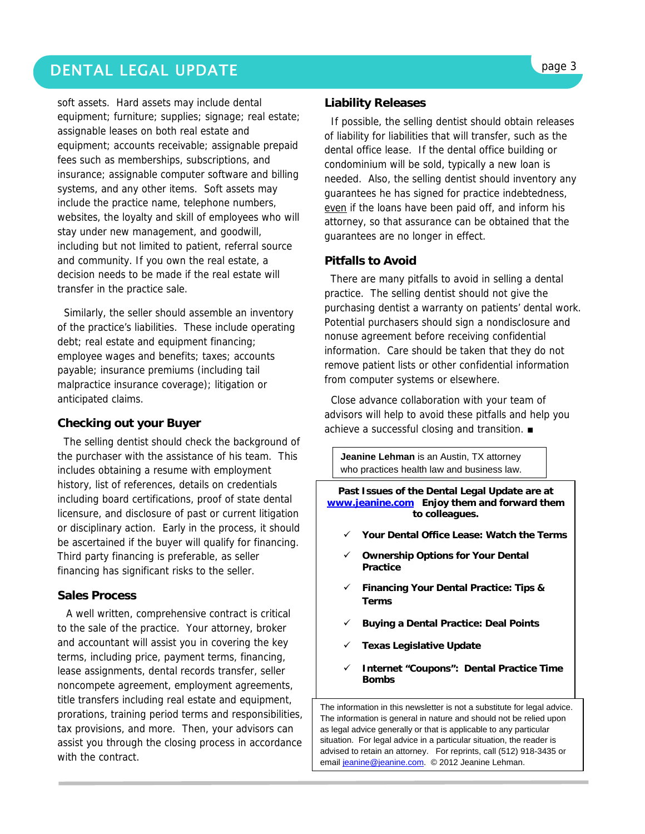### DENTAL LEGAL UPDATE **page 3**

soft assets. Hard assets may include dental equipment; furniture; supplies; signage; real estate; assignable leases on both real estate and equipment; accounts receivable; assignable prepaid fees such as memberships, subscriptions, and insurance; assignable computer software and billing systems, and any other items. Soft assets may include the practice name, telephone numbers, websites, the loyalty and skill of employees who will stay under new management, and goodwill, including but not limited to patient, referral source and community. If you own the real estate, a decision needs to be made if the real estate will transfer in the practice sale.

 Similarly, the seller should assemble an inventory of the practice's liabilities. These include operating debt; real estate and equipment financing; employee wages and benefits; taxes; accounts payable; insurance premiums (including tail malpractice insurance coverage); litigation or anticipated claims.

### **Checking out your Buyer**

The selling dentist should check the background of the purchaser with the assistance of his team. This includes obtaining a resume with employment history, list of references, details on credentials including board certifications, proof of state dental licensure, and disclosure of past or current litigation or disciplinary action. Early in the process, it should be ascertained if the buyer will qualify for financing. Third party financing is preferable, as seller financing has significant risks to the seller.

### **Sales Process**

A well written, comprehensive contract is critical to the sale of the practice. Your attorney, broker and accountant will assist you in covering the key terms, including price, payment terms, financing, lease assignments, dental records transfer, seller noncompete agreement, employment agreements, title transfers including real estate and equipment, prorations, training period terms and responsibilities, tax provisions, and more. Then, your advisors can assist you through the closing process in accordance with the contract.

### **Liability Releases**

 If possible, the selling dentist should obtain releases of liability for liabilities that will transfer, such as the dental office lease. If the dental office building or condominium will be sold, typically a new loan is needed. Also, the selling dentist should inventory any guarantees he has signed for practice indebtedness, even if the loans have been paid off, and inform his attorney, so that assurance can be obtained that the guarantees are no longer in effect.

### **Pitfalls to Avoid**

There are many pitfalls to avoid in selling a dental practice. The selling dentist should not give the purchasing dentist a warranty on patients' dental work. Potential purchasers should sign a nondisclosure and nonuse agreement before receiving confidential information. Care should be taken that they do not remove patient lists or other confidential information from computer systems or elsewhere.

 Close advance collaboration with your team of advisors will help to avoid these pitfalls and help you achieve a successful closing and transition. ■

**Jeanine Lehman** is an Austin, TX attorney who practices health law and business law.

**Past Issues of the Dental Legal Update are at www.jeanine.com Enjoy them and forward them to colleagues.** 

- 9 **Your Dental Office Lease: Watch the Terms**
- **Ownership Options for Your Dental Practice**
- 9 **Financing Your Dental Practice: Tips & Terms**
- 9 **Buying a Dental Practice: Deal Points**
- 9 **Texas Legislative Update**
- 9 **Internet "Coupons": Dental Practice Time Bombs**

The information in this newsletter is not a substitute for legal advice. The information is general in nature and should not be relied upon as legal advice generally or that is applicable to any particular situation. For legal advice in a particular situation, the reader is advised to retain an attorney. For reprints, call (512) 918-3435 or email jeanine@jeanine.com. © 2012 Jeanine Lehman.